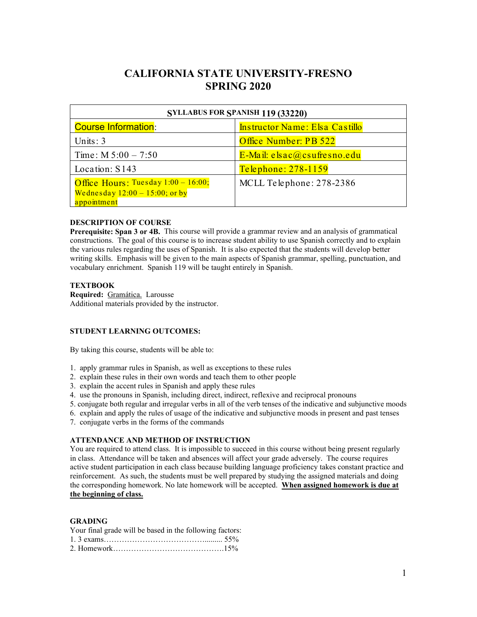# **CALIFORNIA STATE UNIVERSITY-FRESNO SPRING 2020**

| SYLLABUS FOR SPANISH 119 (33220)                                                        |                                |  |
|-----------------------------------------------------------------------------------------|--------------------------------|--|
| <b>Course Information:</b>                                                              | Instructor Name: Elsa Castillo |  |
| Units: $3$                                                                              | Office Number: PB 522          |  |
| Time: $M 5:00 - 7:50$                                                                   | E-Mail: elsac@csufresno.edu    |  |
| Location: S143                                                                          | Telephone: 278-1159            |  |
| Office Hours: Tuesday 1:00 - 16:00;<br>Wednesday $12:00 - 15:00$ ; or by<br>appointment | MCLL Telephone: 278-2386       |  |

### **DESCRIPTION OF COURSE**

**Prerequisite: Span 3 or 4B.** This course will provide a grammar review and an analysis of grammatical constructions. The goal of this course is to increase student ability to use Spanish correctly and to explain the various rules regarding the uses of Spanish. It is also expected that the students will develop better writing skills. Emphasis will be given to the main aspects of Spanish grammar, spelling, punctuation, and vocabulary enrichment. Spanish 119 will be taught entirely in Spanish.

### **TEXTBOOK**

**Required:** Gramática. Larousse Additional materials provided by the instructor.

### **STUDENT LEARNING OUTCOMES:**

By taking this course, students will be able to:

- 1. apply grammar rules in Spanish, as well as exceptions to these rules
- 2. explain these rules in their own words and teach them to other people
- 3. explain the accent rules in Spanish and apply these rules
- 4. use the pronouns in Spanish, including direct, indirect, reflexive and reciprocal pronouns
- 5. conjugate both regular and irregular verbs in all of the verb tenses of the indicative and subjunctive moods
- 6. explain and apply the rules of usage of the indicative and subjunctive moods in present and past tenses
- 7. conjugate verbs in the forms of the commands

### **ATTENDANCE AND METHOD OF INSTRUCTION**

You are required to attend class. It is impossible to succeed in this course without being present regularly in class. Attendance will be taken and absences will affect your grade adversely. The course requires active student participation in each class because building language proficiency takes constant practice and reinforcement. As such, the students must be well prepared by studying the assigned materials and doing the corresponding homework. No late homework will be accepted. **When assigned homework is due at the beginning of class.** 

### **GRADING**

| Your final grade will be based in the following factors: |  |
|----------------------------------------------------------|--|
|                                                          |  |
|                                                          |  |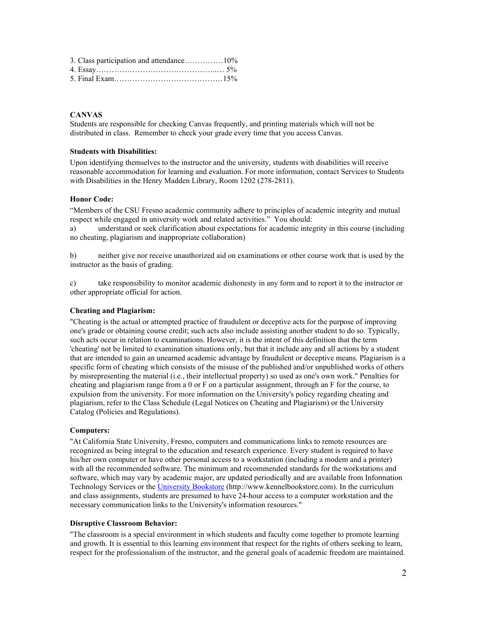| 3. Class participation and attendance10% |  |
|------------------------------------------|--|
|                                          |  |
|                                          |  |

### **CANVAS**

Students are responsible for checking Canvas frequently, and printing materials which will not be distributed in class. Remember to check your grade every time that you access Canvas.

### **Students with Disabilities:**

Upon identifying themselves to the instructor and the university, students with disabilities will receive reasonable accommodation for learning and evaluation. For more information, contact Services to Students with Disabilities in the Henry Madden Library, Room 1202 (278-2811).

### **Honor Code:**

"Members of the CSU Fresno academic community adhere to principles of academic integrity and mutual respect while engaged in university work and related activities." You should:

a) understand or seek clarification about expectations for academic integrity in this course (including no cheating, plagiarism and inappropriate collaboration)

b) neither give nor receive unauthorized aid on examinations or other course work that is used by the instructor as the basis of grading.

c) take responsibility to monitor academic dishonesty in any form and to report it to the instructor or other appropriate official for action.

### **Cheating and Plagiarism:**

"Cheating is the actual or attempted practice of fraudulent or deceptive acts for the purpose of improving one's grade or obtaining course credit; such acts also include assisting another student to do so. Typically, such acts occur in relation to examinations. However, it is the intent of this definition that the term 'cheating' not be limited to examination situations only, but that it include any and all actions by a student that are intended to gain an unearned academic advantage by fraudulent or deceptive means. Plagiarism is a specific form of cheating which consists of the misuse of the published and/or unpublished works of others by misrepresenting the material (i.e., their intellectual property) so used as one's own work." Penalties for cheating and plagiarism range from a 0 or F on a particular assignment, through an F for the course, to expulsion from the university. For more information on the University's policy regarding cheating and plagiarism, refer to the Class Schedule (Legal Notices on Cheating and Plagiarism) or the University Catalog (Policies and Regulations).

#### **Computers:**

"At California State University, Fresno, computers and communications links to remote resources are recognized as being integral to the education and research experience. Every student is required to have his/her own computer or have other personal access to a workstation (including a modem and a printer) with all the recommended software. The minimum and recommended standards for the workstations and software, which may vary by academic major, are updated periodically and are available from Information Technology Services or the [University Bookstore](http://www.kennelbookstore.com/SiteText.aspx?id=20666) (http://www.kennelbookstore.com). In the curriculum and class assignments, students are presumed to have 24-hour access to a computer workstation and the necessary communication links to the University's information resources."

#### **Disruptive Classroom Behavior:**

"The classroom is a special environment in which students and faculty come together to promote learning and growth. It is essential to this learning environment that respect for the rights of others seeking to learn, respect for the professionalism of the instructor, and the general goals of academic freedom are maintained.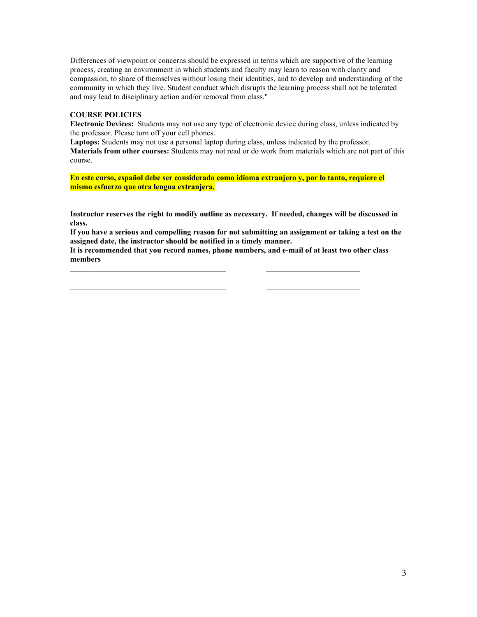Differences of viewpoint or concerns should be expressed in terms which are supportive of the learning process, creating an environment in which students and faculty may learn to reason with clarity and compassion, to share of themselves without losing their identities, and to develop and understanding of the community in which they live. Student conduct which disrupts the learning process shall not be tolerated and may lead to disciplinary action and/or removal from class."

### **COURSE POLICIES**

**Electronic Devices:** Students may not use any type of electronic device during class, unless indicated by the professor. Please turn off your cell phones.

**Laptops:** Students may not use a personal laptop during class, unless indicated by the professor. **Materials from other courses:** Students may not read or do work from materials which are not part of this course.

**En este curso, español debe ser considerado como idioma extranjero y, por lo tanto, requiere el mismo esfuerzo que otra lengua extranjera.**

**Instructor reserves the right to modify outline as necessary. If needed, changes will be discussed in class.**

**If you have a serious and compelling reason for not submitting an assignment or taking a test on the assigned date, the instructor should be notified in a timely manner.**

**It is recommended that you record names, phone numbers, and e-mail of at least two other class members**

\_\_\_\_\_\_\_\_\_\_\_\_\_\_\_\_\_\_\_\_\_\_\_\_\_\_\_\_\_\_\_\_\_\_\_\_\_\_\_\_ \_\_\_\_\_\_\_\_\_\_\_\_\_\_\_\_\_\_\_\_\_\_\_\_

 $\mathcal{L}_\text{max}$  , and the set of the set of the set of the set of the set of the set of the set of the set of the set of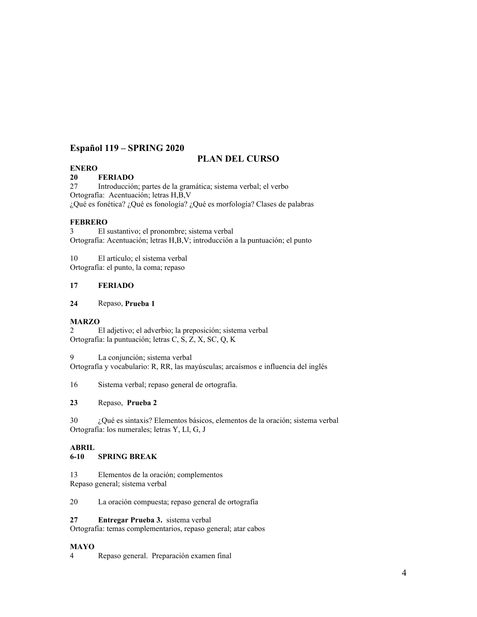## **Español 119 – SPRING 2020**

## **PLAN DEL CURSO**

## **ENERO**

### **20 FERIADO**

27 Introducción; partes de la gramática; sistema verbal; el verbo Ortografía: Acentuación; letras H,B,V ¿Qué es fonética? ¿Qué es fonología? ¿Qué es morfología? Clases de palabras

## **FEBRERO**

3 El sustantivo; el pronombre; sistema verbal Ortografía: Acentuación; letras H,B,V; introducción a la puntuación; el punto

10 El artículo; el sistema verbal Ortografía: el punto, la coma; repaso

## **17 FERIADO**

### **24** Repaso, **Prueba 1**

### **MARZO**

2 El adjetivo; el adverbio; la preposición; sistema verbal Ortografía: la puntuación; letras C, S, Z, X, SC, Q, K

9 La conjunción; sistema verbal

Ortografía y vocabulario: R, RR, las mayúsculas; arcaísmos e influencia del inglés

16 Sistema verbal; repaso general de ortografía.

## **23** Repaso, **Prueba 2**

30 ¿Qué es sintaxis? Elementos básicos, elementos de la oración; sistema verbal Ortografía: los numerales; letras Y, Ll, G, J

### **ABRIL**

### **6-10 SPRING BREAK**

13 Elementos de la oración; complementos Repaso general; sistema verbal

20 La oración compuesta; repaso general de ortografía

### **27 Entregar Prueba 3.** sistema verbal

Ortografía: temas complementarios, repaso general; atar cabos

### **MAYO**

4 Repaso general. Preparación examen final